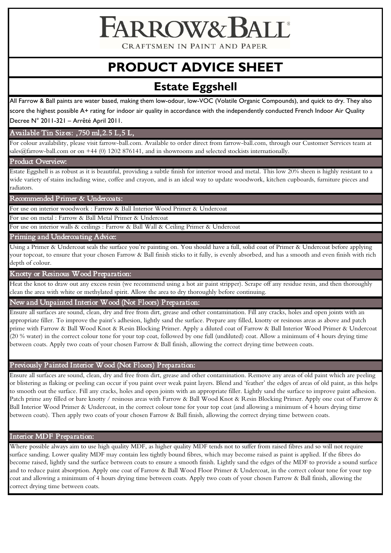CRAFTSMEN IN PAINT AND PAPER

**FARROW& BAI** 

# **PRODUCT ADVICE SHEET**

# **Estate Eggshell**

All Farrow & Ball paints are water based, making them low-odour, low-VOC (Volatile Organic Compounds), and quick to dry. They also score the highest possible A+ rating for indoor air quality in accordance with the independently conducted French Indoor Air Quality

Decree N° 2011-321 – Arrêté April 2011.

Available Tin Sizes: ,750 ml,2.5 L,5 L,

For colour availability, please visit farrow-ball.com. Available to order direct from farrow-ball.com, through our Customer Services team at sales@farrow-ball.com or on +44 (0) 1202 876141, and in showrooms and selected stockists internationally.

Product Overview:

Estate Eggshell is as robust as it is beautiful, providing a subtle finish for interior wood and metal. This low 20% sheen is highly resistant to a wide variety of stains including wine, coffee and crayon, and is an ideal way to update woodwork, kitchen cupboards, furniture pieces and radiators.

Recommended Primer & Undercoats:

For use on interior woodwork : Farrow & Ball Interior Wood Primer & Undercoat

For use on metal : Farrow & Ball Metal Primer & Undercoat

For use on interior walls & ceilings : Farrow & Ball Wall & Ceiling Primer & Undercoat

Priming and Undercoating Advice:

Using a Primer & Undercoat seals the surface you're painting on. You should have a full, solid coat of Primer & Undercoat before applying your topcoat, to ensure that your chosen Farrow & Ball finish sticks to it fully, is evenly absorbed, and has a smooth and even finish with rich depth of colour.

Knotty or Resinous Wood Preparation:

Heat the knot to draw out any excess resin (we recommend using a hot air paint stripper). Scrape off any residue resin, and then thoroughly clean the area with white or methylated spirit. Allow the area to dry thoroughly before continuing.

New and Unpainted Interior Wood (Not Floors) Preparation:

Ensure all surfaces are sound, clean, dry and free from dirt, grease and other contamination. Fill any cracks, holes and open joints with an appropriate filler. To improve the paint's adhesion, lightly sand the surface. Prepare any filled, knotty or resinous areas as above and patch prime with Farrow & Ball Wood Knot & Resin Blocking Primer. Apply a diluted coat of Farrow & Ball Interior Wood Primer & Undercoat (20 % water) in the correct colour tone for your top coat, followed by one full (undiluted) coat. Allow a minimum of 4 hours drying time between coats. Apply two coats of your chosen Farrow & Ball finish, allowing the correct drying time between coats.

# Previously Painted Interior Wood (Not Floors) Preparation:

Ensure all surfaces are sound, clean, dry and free from dirt, grease and other contamination. Remove any areas of old paint which are peeling or blistering as flaking or peeling can occur if you paint over weak paint layers. Blend and 'feather' the edges of areas of old paint, as this helps to smooth out the surface. Fill any cracks, holes and open joints with an appropriate filler. Lightly sand the surface to improve paint adhesion. Patch prime any filled or bare knotty / resinous areas with Farrow & Ball Wood Knot & Resin Blocking Primer. Apply one coat of Farrow & Ball Interior Wood Primer & Undercoat, in the correct colour tone for your top coat (and allowing a minimum of 4 hours drying time between coats). Then apply two coats of your chosen Farrow & Ball finish, allowing the correct drying time between coats.

# Interior MDF Preparation:

Where possible always aim to use high quality MDF, as higher quality MDF tends not to suffer from raised fibres and so will not require surface sanding. Lower quality MDF may contain less tightly bound fibres, which may become raised as paint is applied. If the fibres do become raised, lightly sand the surface between coats to ensure a smooth finish. Lightly sand the edges of the MDF to provide a sound surface and to reduce paint absorption. Apply one coat of Farrow & Ball Wood Floor Primer & Undercoat, in the correct colour tone for your top coat and allowing a minimum of 4 hours drying time between coats. Apply two coats of your chosen Farrow & Ball finish, allowing the correct drying time between coats.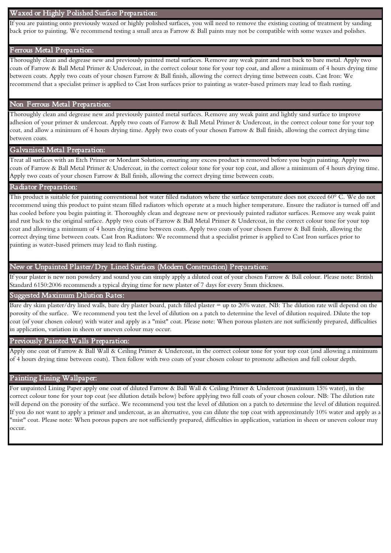#### Waxed or Highly Polished Surface Preparation:

If you are painting onto previously waxed or highly polished surfaces, you will need to remove the existing coating of treatment by sanding back prior to painting. We recommend testing a small area as Farrow & Ball paints may not be compatible with some waxes and polishes.

#### Ferrous Metal Preparation:

Thoroughly clean and degrease new and previously painted metal surfaces. Remove any weak paint and rust back to bare metal. Apply two coats of Farrow & Ball Metal Primer & Undercoat, in the correct colour tone for your top coat, and allow a minimum of 4 hours drying time between coats. Apply two coats of your chosen Farrow & Ball finish, allowing the correct drying time between coats. Cast Iron: We recommend that a specialist primer is applied to Cast Iron surfaces prior to painting as water-based primers may lead to flash rusting.

#### Non Ferrous Metal Preparation:

Thoroughly clean and degrease new and previously painted metal surfaces. Remove any weak paint and lightly sand surface to improve adhesion of your primer & undercoat. Apply two coats of Farrow & Ball Metal Primer & Undercoat, in the correct colour tone for your top coat, and allow a minimum of 4 hours drying time. Apply two coats of your chosen Farrow & Ball finish, allowing the correct drying time between coats.

#### Galvanised Metal Preparation:

Treat all surfaces with an Etch Primer or Mordant Solution, ensuring any excess product is removed before you begin painting. Apply two coats of Farrow & Ball Metal Primer & Undercoat, in the correct colour tone for your top coat, and allow a minimum of 4 hours drying time. Apply two coats of your chosen Farrow & Ball finish, allowing the correct drying time between coats.

# Radiator Preparation:

This product is suitable for painting conventional hot water filled radiators where the surface temperature does not exceed 60° C. We do not recommend using this product to paint steam filled radiators which operate at a much higher temperature. Ensure the radiator is turned off and has cooled before you begin painting it. Thoroughly clean and degrease new or previously painted radiator surfaces. Remove any weak paint and rust back to the original surface. Apply two coats of Farrow & Ball Metal Primer & Undercoat, in the correct colour tone for your top coat and allowing a minimum of 4 hours drying time between coats. Apply two coats of your chosen Farrow & Ball finish, allowing the correct drying time between coats. Cast Iron Radiators: We recommend that a specialist primer is applied to Cast Iron surfaces prior to painting as water-based primers may lead to flash rusting.

# New or Unpainted Plaster/Dry Lined Surfaces (Modern Construction) Preparation:

If your plaster is new non powdery and sound you can simply apply a diluted coat of your chosen Farrow & Ball colour. Please note: British Standard 6150:2006 recommends a typical drying time for new plaster of 7 days for every 5mm thickness.

# Suggested Maximum Dilution Rates:

 porosity of the surface. We recommend you test the level of dilution on a patch to determine the level of dilution required. Dilute the top Bare dry skim plaster/dry lined walls, bare dry plaster board, patch filled plaster = up to 20% water. NB: The dilution rate will depend on the coat (of your chosen colour) with water and apply as a "mist" coat. Please note: When porous plasters are not sufficiently prepared, difficulties in application, variation in sheen or uneven colour may occur.

#### Previously Painted Walls Preparation:

Apply one coat of Farrow & Ball Wall & Ceiling Primer & Undercoat, in the correct colour tone for your top coat (and allowing a minimum of 4 hours drying time between coats). Then follow with two coats of your chosen colour to promote adhesion and full colour depth.

# Painting Lining Wallpaper:

will depend on the porosity of the surface. We recommend you test the level of dilution on a patch to determine the level of dilution required. For unpainted Lining Paper apply one coat of diluted Farrow & Ball Wall & Ceiling Primer & Undercoat (maximum 15% water), in the correct colour tone for your top coat (see dilution details below) before applying two full coats of your chosen colour. NB: The dilution rate If you do not want to apply a primer and undercoat, as an alternative, you can dilute the top coat with approximately 10% water and apply as a "mist" coat. Please note: When porous papers are not sufficiently prepared, difficulties in application, variation in sheen or uneven colour may occur.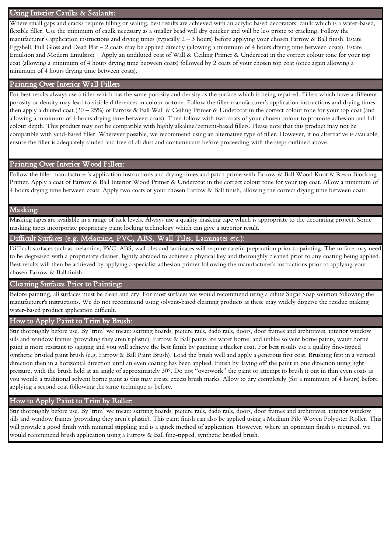#### Using Interior Caulks & Sealants:

Where small gaps and cracks require filling or sealing, best results are achieved with an acrylic based decorators' caulk which is a water-based, flexible filler. Use the minimum of caulk necessary as a smaller bead will dry quicker and will be less prone to cracking. Follow the manufacturer's application instructions and drying times (typically 2 – 3 hours) before applying your chosen Farrow & Ball finish. Estate Eggshell, Full Gloss and Dead Flat – 2 coats may be applied directly (allowing a minimum of 4 hours drying time between coats). Estate Emulsion and Modern Emulsion – Apply an undiluted coat of Wall & Ceiling Primer & Undercoat in the correct colour tone for your top coat (allowing a minimum of 4 hours drying time between coats) followed by 2 coats of your chosen top coat (once again allowing a minimum of 4 hours drying time between coats).

# Painting Over Interior Wall Fillers

For best results always use a filler which has the same porosity and density as the surface which is being repaired. Fillers which have a different porosity or density may lead to visible differences in colour or tone. Follow the filler manufacturer's application instructions and drying times then apply a diluted coat (20 – 25%) of Farrow & Ball Wall & Ceiling Primer & Undercoat in the correct colour tone for your top coat (and allowing a minimum of 4 hours drying time between coats). Then follow with two coats of your chosen colour to promote adhesion and full colour depth. This product may not be compatible with highly alkaline/cement-based fillers. Please note that this product may not be compatible with sand-based filler. Wherever possible, we recommend using an alternative type of filler. However, if no alternative is available, ensure the filler is adequately sanded and free of all dust and contaminants before proceeding with the steps outlined above.

# Painting Over Interior Wood Fillers:

Follow the filler manufacturer's application instructions and drying times and patch prime with Farrow & Ball Wood Knot & Resin Blocking Primer. Apply a coat of Farrow & Ball Interior Wood Primer & Undercoat in the correct colour tone for your top coat. Allow a minimum of 4 hours drying time between coats. Apply two coats of your chosen Farrow & Ball finish, allowing the correct drying time between coats.

#### Masking:

Masking tapes are available in a range of tack levels. Always use a quality masking tape which is appropriate to the decorating project. Some masking tapes incorporate proprietary paint locking technology which can give a superior result.

# Difficult Surfaces (e.g. Melamine, PVC, ABS, Wall Tiles, Laminates etc.):

Difficult surfaces such as melamine, PVC, ABS, wall tiles and laminates will require careful preparation prior to painting. The surface may need to be degreased with a proprietary cleaner, lightly abraded to achieve a physical key and thoroughly cleaned prior to any coating being applied. Best results will then be achieved by applying a specialist adhesion primer following the manufacturer's instructions prior to applying your chosen Farrow & Ball finish.

# Cleaning Surfaces Prior to Painting:

Before painting, all surfaces must be clean and dry. For most surfaces we would recommend using a dilute Sugar Soap solution following the manufacturer's instructions. We do not recommend using solvent-based cleaning products as these may widely disperse the residue making water-based product application difficult.

# How to Apply Paint to Trim by Brush:

Stir thoroughly before use. By 'trim' we mean: skirting boards, picture rails, dado rails, doors, door frames and architraves, interior window sills and window frames (providing they aren't plastic). Farrow & Ball paints are water borne, and unlike solvent borne paints, water borne paint is more resistant to sagging and you will achieve the best finish by painting a thicker coat. For best results use a quality fine-tipped synthetic bristled paint brush (e.g. Farrow & Ball Paint Brush). Load the brush well and apply a generous first coat. Brushing first in a vertical direction then in a horizontal direction until an even coating has been applied. Finish by 'laying off' the paint in one direction using light pressure, with the brush held at an angle of approximately 30°. Do not "overwork" the paint or attempt to brush it out in thin even coats as you would a traditional solvent borne paint as this may create excess brush marks. Allow to dry completely (for a minimum of 4 hours) before applying a second coat following the same technique as before.

# How to Apply Paint to Trim by Roller:

Stir thoroughly before use. By 'trim' we mean: skirting boards, picture rails, dado rails, doors, door frames and architraves, interior window sills and window frames (providing they aren't plastic). This paint finish can also be applied using a Medium Pile Woven Polyester Roller. This will provide a good finish with minimal stippling and is a quick method of application. However, where an optimum finish is required, we would recommend brush application using a Farrow & Ball fine-tipped, synthetic bristled brush.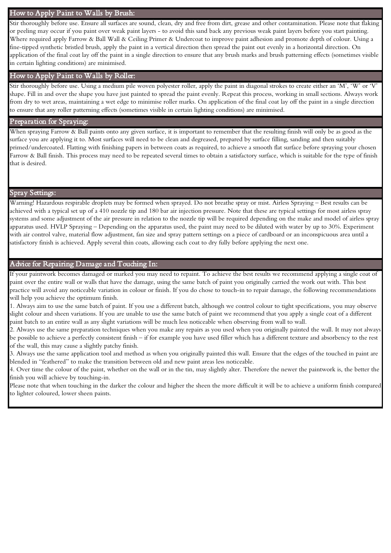#### How to Apply Paint to Walls by Brush:

Stir thoroughly before use. Ensure all surfaces are sound, clean, dry and free from dirt, grease and other contamination. Please note that flaking or peeling may occur if you paint over weak paint layers - to avoid this sand back any previous weak paint layers before you start painting. Where required apply Farrow & Ball Wall & Ceiling Primer & Undercoat to improve paint adhesion and promote depth of colour. Using a fine-tipped synthetic bristled brush, apply the paint in a vertical direction then spread the paint out evenly in a horizontal direction. On application of the final coat lay off the paint in a single direction to ensure that any brush marks and brush patterning effects (sometimes visible in certain lighting conditions) are minimised.

# How to Apply Paint to Walls by Roller:

Stir thoroughly before use. Using a medium pile woven polyester roller, apply the paint in diagonal strokes to create either an 'M', 'W' or 'V' shape. Fill in and over the shape you have just painted to spread the paint evenly. Repeat this process, working in small sections. Always work from dry to wet areas, maintaining a wet edge to minimise roller marks. On application of the final coat lay off the paint in a single direction to ensure that any roller patterning effects (sometimes visible in certain lighting conditions) are minimised.

# Preparation for Spraying:

When spraying Farrow & Ball paints onto any given surface, it is important to remember that the resulting finish will only be as good as the surface you are applying it to. Most surfaces will need to be clean and degreased, prepared by surface filling, sanding and then suitably primed/undercoated. Flatting with finishing papers in between coats as required, to achieve a smooth flat surface before spraying your chosen Farrow & Ball finish. This process may need to be repeated several times to obtain a satisfactory surface, which is suitable for the type of finish that is desired.

# Spray Settings:

Warning! Hazardous respirable droplets may be formed when sprayed. Do not breathe spray or mist. Airless Spraying – Best results can be achieved with a typical set up of a 410 nozzle tip and 180 bar air injection pressure. Note that these are typical settings for most airless spray systems and some adjustment of the air pressure in relation to the nozzle tip will be required depending on the make and model of airless spray apparatus used. HVLP Spraying – Depending on the apparatus used, the paint may need to be diluted with water by up to 30%. Experiment with air control valve, material flow adjustment, fan size and spray pattern settings on a piece of cardboard or an inconspicuous area until a satisfactory finish is achieved. Apply several thin coats, allowing each coat to dry fully before applying the next one.

#### Advice for Repairing Damage and Touching In:

If your paintwork becomes damaged or marked you may need to repaint. To achieve the best results we recommend applying a single coat of paint over the entire wall or walls that have the damage, using the same batch of paint you originally carried the work out with. This best practice will avoid any noticeable variation in colour or finish. If you do chose to touch-in to repair damage, the following recommendations will help you achieve the optimum finish.

1. Always aim to use the same batch of paint. If you use a different batch, although we control colour to tight specifications, you may observe slight colour and sheen variations. If you are unable to use the same batch of paint we recommend that you apply a single coat of a different paint batch to an entire wall as any slight variations will be much less noticeable when observing from wall to wall.

2. Always use the same preparation techniques when you make any repairs as you used when you originally painted the wall. It may not always be possible to achieve a perfectly consistent finish – if for example you have used filler which has a different texture and absorbency to the rest of the wall, this may cause a slightly patchy finish.

3. Always use the same application tool and method as when you originally painted this wall. Ensure that the edges of the touched in paint are blended in "feathered" to make the transition between old and new paint areas less noticeable.

4. Over time the colour of the paint, whether on the wall or in the tin, may slightly alter. Therefore the newer the paintwork is, the better the finish you will achieve by touching-in.

Please note that when touching in the darker the colour and higher the sheen the more difficult it will be to achieve a uniform finish compared to lighter coloured, lower sheen paints.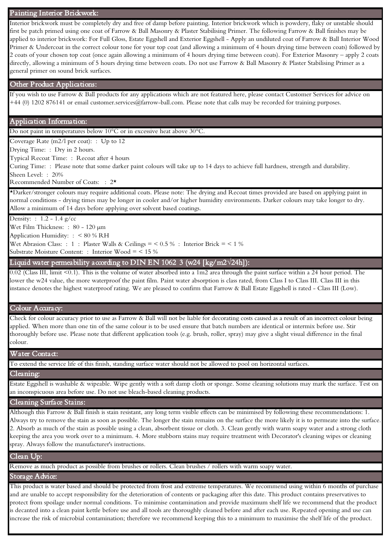#### Painting Interior Brickwork:

Interior brickwork must be completely dry and free of damp before painting. Interior brickwork which is powdery, flaky or unstable should first be patch primed using one coat of Farrow & Ball Masonry & Plaster Stabilising Primer. The following Farrow & Ball finishes may be applied to interior brickwork: For Full Gloss, Estate Eggshell and Exterior Eggshell - Apply an undiluted coat of Farrow & Ball Interior Wood Primer & Undercoat in the correct colour tone for your top coat (and allowing a minimum of 4 hours drying time between coats) followed by 2 coats of your chosen top coat (once again allowing a minimum of 4 hours drying time between coats). For Exterior Masonry – apply 2 coats directly, allowing a minimum of 5 hours drying time between coats. Do not use Farrow & Ball Masonry & Plaster Stabilising Primer as a general primer on sound brick surfaces.

#### Other Product Applications:

If you wish to use Farrow & Ball products for any applications which are not featured here, please contact Customer Services for advice on +44 (0) 1202 876141 or email customer.services@farrow-ball.com. Please note that calls may be recorded for training purposes.

#### Application Information:

Do not paint in temperatures below 10°C or in excessive heat above 30°C.

Coverage Rate (m2/l per coat): : Up to 12

Drying Time: : Dry in 2 hours.

Typical Recoat Time: : Recoat after 4 hours

 Curing Time: : Please note that some darker paint colours will take up to 14 days to achieve full hardness, strength and durability. Sheen Level: : 20%

Recommended Number of Coats: : 2\*

\*Darker/stronger colours may require additional coats. Please note: The drying and Recoat times provided are based on applying paint in normal conditions - drying times may be longer in cooler and/or higher humidity environments. Darker colours may take longer to dry. Allow a minimum of 14 days before applying over solvent based coatings.

Density: : 1.2 - 1.4 g/cc

Wet Film Thickness: : 80 - 120 µm

Application Humidity: : < 80 % RH

Wet Abrasion Class: : 1 : Plaster Walls & Ceilings =  $< 0.5 %$  : Interior Brick =  $< 1 \%$ 

Substrate Moisture Content: : Interior Wood = < 15 %

# - Liquid water permeability according to DIN EN 1062 3 (w24 [kg/m2**√**24h]):

0.02 (Class III, limit <0.1). This is the volume of water absorbed into a 1m2 area through the paint surface within a 24 hour period. The lower the w24 value, the more waterproof the paint film. Paint water absorption is class rated, from Class I to Class III. Class III in this instance denotes the highest waterproof rating. We are pleased to confirm that Farrow & Ball Estate Eggshell is rated - Class III (Low).

#### Colour Accuracy:

Check for colour accuracy prior to use as Farrow & Ball will not be liable for decorating costs caused as a result of an incorrect colour being applied. When more than one tin of the same colour is to be used ensure that batch numbers are identical or intermix before use. Stir thoroughly before use. Please note that different application tools (e.g. brush, roller, spray) may give a slight visual difference in the final colour.

#### Water Contact:

To extend the service life of this finish, standing surface water should not be allowed to pool on horizontal surfaces.

#### Cleaning:

Estate Eggshell is washable & wipeable. Wipe gently with a soft damp cloth or sponge. Some cleaning solutions may mark the surface. Test on an inconspicuous area before use. Do not use bleach-based cleaning products.

#### Cleaning Surface Stains:

Although this Farrow & Ball finish is stain resistant, any long term visible effects can be minimised by following these recommendations: 1. Always try to remove the stain as soon as possible. The longer the stain remains on the surface the more likely it is to permeate into the surface. 2. Absorb as much of the stain as possible using a clean, absorbent tissue or cloth. 3. Clean gently with warm soapy water and a strong cloth keeping the area you work over to a minimum. 4. More stubborn stains may require treatment with Decorator's cleaning wipes or cleaning spray. Always follow the manufacturer's instructions.

# Clean Up:

Remove as much product as possible from brushes or rollers. Clean brushes / rollers with warm soapy water.

# Storage Advice:

This product is water based and should be protected from frost and extreme temperatures. We recommend using within 6 months of purchase and are unable to accept responsibility for the deterioration of contents or packaging after this date. This product contains preservatives to protect from spoilage under normal conditions. To minimise contamination and provide maximum shelf life we recommend that the product is decanted into a clean paint kettle before use and all tools are thoroughly cleaned before and after each use. Repeated opening and use can increase the risk of microbial contamination; therefore we recommend keeping this to a minimum to maximise the shelf life of the product.